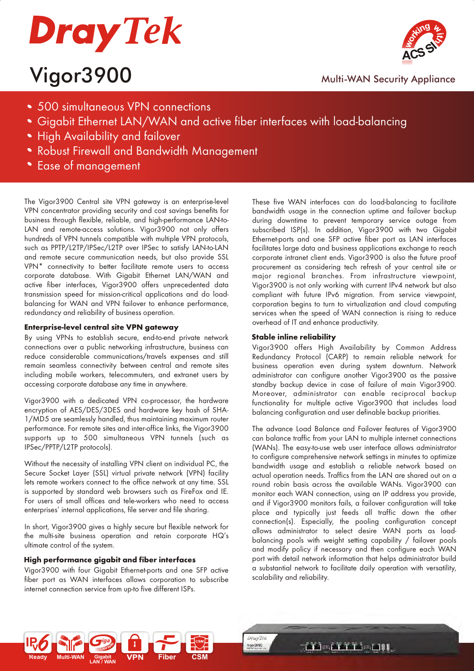

## Vigor3900 Multi-WAN Security Appliance



- 500 simultaneous VPN connections
- Gigabit Ethernet LAN/WAN and active fiber interfaces with load-balancing
- **High Availability and failover**
- Robust Firewall and Bandwidth Management
- Ease of management

The Vigor3900 Central site VPN gateway is an enterprise-level VPN concentrator providing security and cost savings benefits for business through flexible, reliable, and high-performance LAN-to-LAN and remote-access solutions. Vigor3900 not only offers hundreds of VPN tunnels compatible with multiple VPN protocols, such as PPTP/L2TP/IPSec/L2TP over IPSec to satisfy LAN-to-LAN and remote secure communication needs, but also provide SSL VPN\* connectivity to better facilitate remote users to access corporate database. With Gigabit Ethernet LAN/WAN and active fiber interfaces, Vigor3900 offers unprecedented data transmission speed for mission-critical applications and do loadbalancing for WAN and VPN failover to enhance performance, redundancy and reliability of business operation.

### **Enterprise-level central site VPN gateway**

By using VPNs to establish secure, end-to-end private network connections over a public networking infrastructure, business can reduce considerable communications/travels expenses and still remain seamless connectivity between central and remote sites including mobile workers, telecommuters, and extranet users by accessing corporate database any time in anywhere.

Vigor3900 with a dedicated VPN co-processor, the hardware encryption of AES/DES/3DES and hardware key hash of SHA-1/MD5 are seamlessly handled, thus maintaining maximum router performance. For remote sites and inter-office links, the Vigor3900 supports up to 500 simultaneous VPN tunnels (such as IPSec/PPTP/L2TP protocols).

Without the necessity of installing VPN client on individual PC, the Secure Socket Layer (SSL) virtual private network (VPN) facility lets remote workers connect to the office network at any time. SSL is supported by standard web browsers such as FireFox and IE. For users of small offices and tele-workers who need to access enterprises' internal applications, file server and file sharing.

In short, Vigor3900 gives a highly secure but flexible network for the multi-site business operation and retain corporate HQ's ultimate control of the system.

### **High performance gigabit and fiber interfaces**

Vigor3900 with four Gigabit Ethernet-ports and one SFP active fiber port as WAN interfaces allows corporation to subscribe internet connection service from up-to five different ISPs.

These five WAN interfaces can do load-balancing to facilitate bandwidth usage in the connection uptime and failover backup during downtime to prevent temporary service outage from subscribed ISP(s). In addition, Vigor3900 with two Gigabit Ethernet-ports and one SFP active fiber port as LAN interfaces facilitates large data and business applications exchange to reach corporate intranet client ends. Vigor3900 is also the future proof procurement as considering tech refresh of your central site or major regional branches. From infrastructure viewpoint, Vigor3900 is not only working with current IPv4 network but also compliant with future IPv6 migration. From service viewpoint, corporation begins to turn to virtualization and cloud computing services when the speed of WAN connection is rising to reduce overhead of IT and enhance productivity.

### **Stable inline reliability**

Vigor3900 offers High Availability by Common Address Redundancy Protocol (CARP) to remain reliable network for business operation even during system downturn. Network administrator can configure another Vigor3900 as the passive standby backup device in case of failure of main Vigor3900. Moreover, administrator can enable reciprocal backup functionality for multiple active Vigor3900 that includes load balancing configuration and user definable backup priorities.

The advance Load Balance and Failover features of Vigor3900 can balance traffic from your LAN to multiple internet connections (WANs). The easy-to-use web user interface allows administrator to configure comprehensive network settings in minutes to optimize bandwidth usage and establish a reliable network based on actual operation needs. Traffics from the LAN are shared out on a round robin basis across the available WANs. Vigor3900 can monitor each WAN connection, using an IP address you provide, and if Vigor3900 monitors fails, a failover configuration will take place and typically just feeds all traffic down the other connection(s). Especially, the pooling configuration concept allows administrator to select desire WAN ports as loadbalancing pools with weight setting capability / failover pools and modify policy if necessary and then configure each WAN port with detail network information that helps administrator build a substantial network to facilitate daily operation with versatility, scalability and reliability.



**THE SELF LEADER** 

**DrayTek** Vigor3900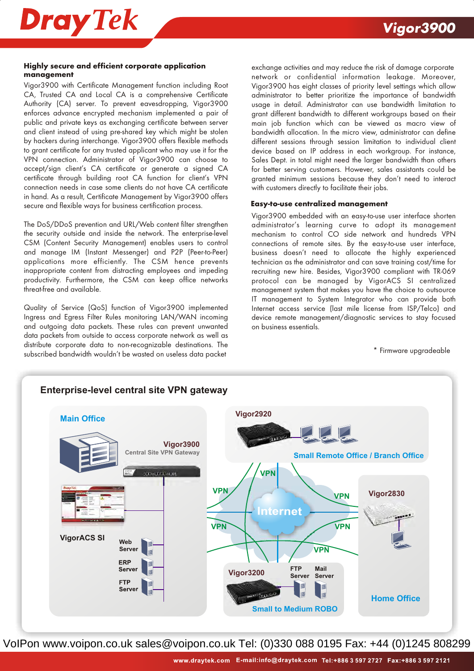

### **Highly secure and efficient corporate application management**

Vigor3900 with Certificate Management function including Root CA, Trusted CA and Local CA is a comprehensive Certificate Authority (CA) server. To prevent eavesdropping, Vigor3900 enforces advance encrypted mechanism implemented a pair of public and private keys as exchanging certificate between server and client instead of using pre-shared key which might be stolen by hackers during interchange. Vigor3900 offers flexible methods to grant certificate for any trusted applicant who may use it for the VPN connection. Administrator of Vigor3900 can choose to accept/sign client's CA certificate or generate a signed CA certificate through building root CA function for client's VPN connection needs in case some clients do not have CA certificate in hand. As a result, Certificate Management by Vigor3900 offers secure and flexible ways for business certification process.

The DoS/DDoS prevention and URL/Web content filter strengthen the security outside and inside the network. The enterprise-level CSM (Content Security Management) enables users to control and manage IM (Instant Messenger) and P2P (Peer-to-Peer) applications more efficiently. The CSM hence prevents inappropriate content from distracting employees and impeding productivity. Furthermore, the CSM can keep office networks threat-free and available.

Quality of Service (QoS) function of Vigor3900 implemented Ingress and Egress Filter Rules monitoring LAN/WAN incoming and outgoing data packets. These rules can prevent unwanted data packets from outside to access corporate network as well as distribute corporate data to non-recognizable destinations. The subscribed bandwidth wouldn't be wasted on useless data packet

exchange activities and may reduce the risk of damage corporate network or confidential information leakage. Moreover, Vigor3900 has eight classes of priority level settings which allow administrator to better prioritize the importance of bandwidth usage in detail. Administrator can use bandwidth limitation to grant different bandwidth to different workgroups based on their main job function which can be viewed as macro view of bandwidth allocation. In the micro view, administrator can define different sessions through session limitation to individual client device based on IP address in each workgroup. For instance, Sales Dept. in total might need the larger bandwidth than others for better serving customers. However, sales assistants could be granted minimum sessions because they don't need to interact with customers directly to facilitate their jobs.

#### **Easy-to-use centralized management**

Vigor3900 embedded with an easy-to-use user interface shorten administrator's learning curve to adopt its management mechanism to control CO side network and hundreds VPN connections of remote sites. By the easy-to-use user interface, business doesn't need to allocate the highly experienced technician as the administrator and can save training cost/time for recruiting new hire. Besides, Vigor3900 compliant with TR-069 protocol can be managed by VigorACS SI centralized management system that makes you have the choice to outsource IT management to System Integrator who can provide both Internet access service (last mile license from ISP/Telco) and device remote management/diagnostic services to stay focused on business essentials.

#### \* Firmware upgradeable

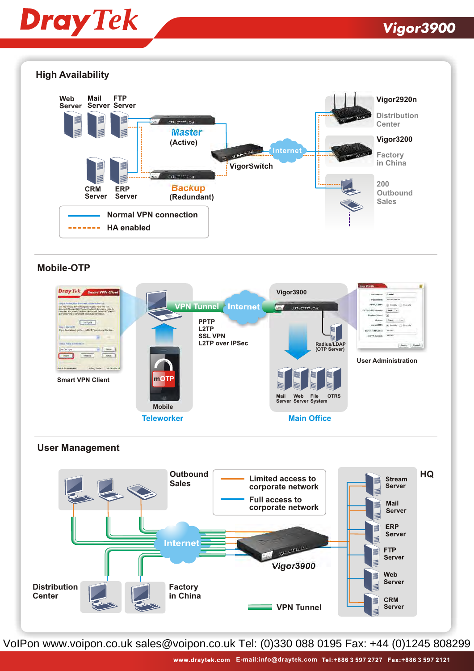# **Dray Tek**

## **Vigor3900**



### **Mobile-OTP**



### **User Management**

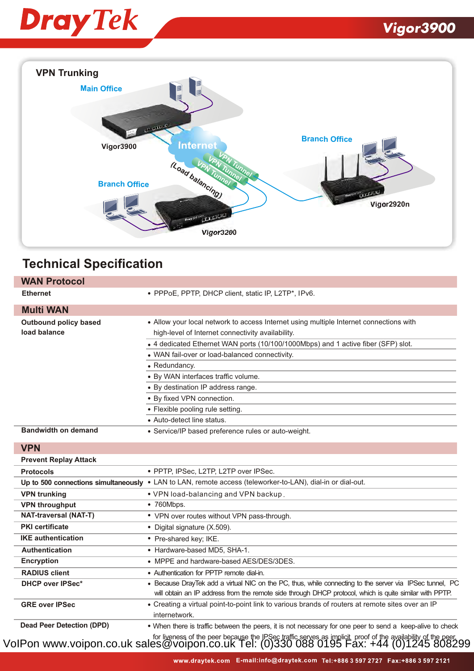



### **Technical Specification**

| <b>WAN Protocol</b>                          |                                                                                                                                                                                                                                                                                                                                                                                                                                                                                  |
|----------------------------------------------|----------------------------------------------------------------------------------------------------------------------------------------------------------------------------------------------------------------------------------------------------------------------------------------------------------------------------------------------------------------------------------------------------------------------------------------------------------------------------------|
| <b>Ethernet</b>                              | · PPPoE, PPTP, DHCP client, static IP, L2TP*, IPv6.                                                                                                                                                                                                                                                                                                                                                                                                                              |
| <b>Multi WAN</b>                             |                                                                                                                                                                                                                                                                                                                                                                                                                                                                                  |
| <b>Outbound policy based</b><br>load balance | • Allow your local network to access Internet using multiple Internet connections with<br>high-level of Internet connectivity availability.<br>• 4 dedicated Ethernet WAN ports (10/100/1000Mbps) and 1 active fiber (SFP) slot.<br>• WAN fail-over or load-balanced connectivity.<br>• Redundancy.<br>· By WAN interfaces traffic volume.<br>• By destination IP address range.<br>· By fixed VPN connection.<br>• Flexible pooling rule setting.<br>• Auto-detect line status. |
| <b>Bandwidth on demand</b>                   | • Service/IP based preference rules or auto-weight.                                                                                                                                                                                                                                                                                                                                                                                                                              |
| <b>VPN</b>                                   |                                                                                                                                                                                                                                                                                                                                                                                                                                                                                  |
| <b>Prevent Replay Attack</b>                 |                                                                                                                                                                                                                                                                                                                                                                                                                                                                                  |
| <b>Protocols</b>                             | · PPTP, IPSec, L2TP, L2TP over IPSec.                                                                                                                                                                                                                                                                                                                                                                                                                                            |
|                                              | Up to 500 connections simultaneously . LAN to LAN, remote access (teleworker-to-LAN), dial-in or dial-out.                                                                                                                                                                                                                                                                                                                                                                       |
| <b>VPN trunking</b>                          | . VPN load-balancing and VPN backup.                                                                                                                                                                                                                                                                                                                                                                                                                                             |
| <b>VPN throughput</b>                        | • 760Mbps.                                                                                                                                                                                                                                                                                                                                                                                                                                                                       |
| <b>NAT-traversal (NAT-T)</b>                 | • VPN over routes without VPN pass-through.                                                                                                                                                                                                                                                                                                                                                                                                                                      |
| <b>PKI</b> certificate                       | • Digital signature (X.509).                                                                                                                                                                                                                                                                                                                                                                                                                                                     |
| <b>IKE</b> authentication                    | • Pre-shared key; IKE.                                                                                                                                                                                                                                                                                                                                                                                                                                                           |
| <b>Authentication</b>                        | • Hardware-based MD5, SHA-1.                                                                                                                                                                                                                                                                                                                                                                                                                                                     |
| <b>Encryption</b>                            | • MPPE and hardware-based AES/DES/3DES.                                                                                                                                                                                                                                                                                                                                                                                                                                          |
| <b>RADIUS client</b>                         | • Authentication for PPTP remote dial-in.                                                                                                                                                                                                                                                                                                                                                                                                                                        |
| <b>DHCP over IPSec*</b>                      | • Because DrayTek add a virtual NIC on the PC, thus, while connecting to the server via IPSec tunnel, PC<br>will obtain an IP address from the remote side through DHCP protocol, which is quite similar with PPTP.                                                                                                                                                                                                                                                              |
| <b>GRE over IPSec</b>                        | • Creating a virtual point-to-point link to various brands of routers at remote sites over an IP<br>internetwork.                                                                                                                                                                                                                                                                                                                                                                |
| <b>Dead Peer Detection (DPD)</b>             | • When there is traffic between the peers, it is not necessary for one peer to send a keep-alive to check                                                                                                                                                                                                                                                                                                                                                                        |

for liveness of the peer because the IPSec traffic serves as implicit proof of the availability of the peer. VoIPon www.voipon.co.uk sales@voipon.co.uk Tel: (0)330 088 0195 Fax: +44 (0)1245 808299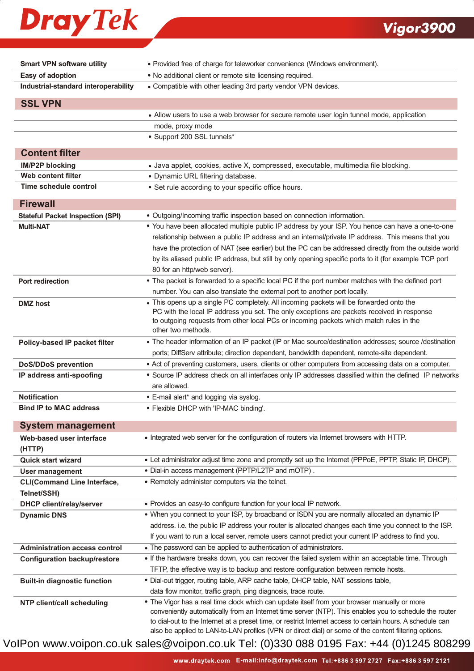## **Dray Tek**

### **Vigor3900**

| <b>Smart VPN software utility</b>       | • Provided free of charge for teleworker convenience (Windows environment).                                                                                                                                    |
|-----------------------------------------|----------------------------------------------------------------------------------------------------------------------------------------------------------------------------------------------------------------|
| Easy of adoption                        | . No additional client or remote site licensing required.                                                                                                                                                      |
| Industrial-standard interoperability    | • Compatible with other leading 3rd party vendor VPN devices.                                                                                                                                                  |
| <b>SSL VPN</b>                          |                                                                                                                                                                                                                |
|                                         | • Allow users to use a web browser for secure remote user login tunnel mode, application                                                                                                                       |
|                                         | mode, proxy mode                                                                                                                                                                                               |
|                                         | • Support 200 SSL tunnels*                                                                                                                                                                                     |
|                                         |                                                                                                                                                                                                                |
| <b>Content filter</b>                   |                                                                                                                                                                                                                |
| <b>IM/P2P blocking</b>                  | • Java applet, cookies, active X, compressed, executable, multimedia file blocking.                                                                                                                            |
| Web content filter                      | · Dynamic URL filtering database.                                                                                                                                                                              |
| Time schedule control                   | • Set rule according to your specific office hours.                                                                                                                                                            |
| <b>Firewall</b>                         |                                                                                                                                                                                                                |
| <b>Stateful Packet Inspection (SPI)</b> | • Outgoing/Incoming traffic inspection based on connection information.                                                                                                                                        |
| <b>Multi-NAT</b>                        | • You have been allocated multiple public IP address by your ISP. You hence can have a one-to-one                                                                                                              |
|                                         | relationship between a public IP address and an internal/private IP address. This means that you                                                                                                               |
|                                         | have the protection of NAT (see earlier) but the PC can be addressed directly from the outside world                                                                                                           |
|                                         | by its aliased public IP address, but still by only opening specific ports to it (for example TCP port                                                                                                         |
|                                         | 80 for an http/web server).                                                                                                                                                                                    |
| <b>Port redirection</b>                 | • The packet is forwarded to a specific local PC if the port number matches with the defined port                                                                                                              |
|                                         | number. You can also translate the external port to another port locally.                                                                                                                                      |
| <b>DMZ</b> host                         | • This opens up a single PC completely. All incoming packets will be forwarded onto the                                                                                                                        |
|                                         | PC with the local IP address you set. The only exceptions are packets received in response                                                                                                                     |
|                                         | to outgoing requests from other local PCs or incoming packets which match rules in the<br>other two methods.                                                                                                   |
|                                         | • The header information of an IP packet (IP or Mac source/destination addresses; source /destination                                                                                                          |
| Policy-based IP packet filter           |                                                                                                                                                                                                                |
|                                         | ports; DiffServ attribute; direction dependent, bandwidth dependent, remote-site dependent.                                                                                                                    |
| <b>DoS/DDoS prevention</b>              | • Act of preventing customers, users, clients or other computers from accessing data on a computer.<br>• Source IP address check on all interfaces only IP addresses classified within the defined IP networks |
| IP address anti-spoofing                | are allowed.                                                                                                                                                                                                   |
| <b>Notification</b>                     | • E-mail alert* and logging via syslog.                                                                                                                                                                        |
| <b>Bind IP to MAC address</b>           | • Flexible DHCP with 'IP-MAC binding'.                                                                                                                                                                         |
|                                         |                                                                                                                                                                                                                |
| <b>System management</b>                |                                                                                                                                                                                                                |
| Web-based user interface                | . Integrated web server for the configuration of routers via Internet browsers with HTTP.                                                                                                                      |
| (HTTP)                                  |                                                                                                                                                                                                                |
| <b>Quick start wizard</b>               | . Let administrator adjust time zone and promptly set up the Internet (PPPoE, PPTP, Static IP, DHCP).                                                                                                          |
| User management                         | . Dial-in access management (PPTP/L2TP and mOTP).                                                                                                                                                              |
| <b>CLI(Command Line Interface,</b>      | • Remotely administer computers via the telnet.                                                                                                                                                                |
| Telnet/SSH)                             |                                                                                                                                                                                                                |
| <b>DHCP client/relay/server</b>         | • Provides an easy-to configure function for your local IP network.<br>. When you connect to your ISP, by broadband or ISDN you are normally allocated an dynamic IP                                           |
| <b>Dynamic DNS</b>                      |                                                                                                                                                                                                                |
|                                         | address. i.e. the public IP address your router is allocated changes each time you connect to the ISP.                                                                                                         |
|                                         | If you want to run a local server, remote users cannot predict your current IP address to find you.                                                                                                            |
| <b>Administration access control</b>    | • The password can be applied to authentication of administrators.                                                                                                                                             |
| <b>Configuration backup/restore</b>     | . If the hardware breaks down, you can recover the failed system within an acceptable time. Through                                                                                                            |
|                                         | TFTP, the effective way is to backup and restore configuration between remote hosts.                                                                                                                           |
| <b>Built-in diagnostic function</b>     | . Dial-out trigger, routing table, ARP cache table, DHCP table, NAT sessions table,                                                                                                                            |
|                                         | data flow monitor, traffic graph, ping diagnosis, trace route.<br>• The Vigor has a real time clock which can update itself from your browser manually or more                                                 |
| <b>NTP client/call scheduling</b>       | conveniently automatically from an Internet time server (NTP). This enables you to schedule the router                                                                                                         |
|                                         | to dial-out to the Internet at a preset time, or restrict Internet access to certain hours. A schedule can                                                                                                     |
|                                         | also be applied to LAN-to-LAN profiles (VPN or direct dial) or some of the content filtering options.                                                                                                          |